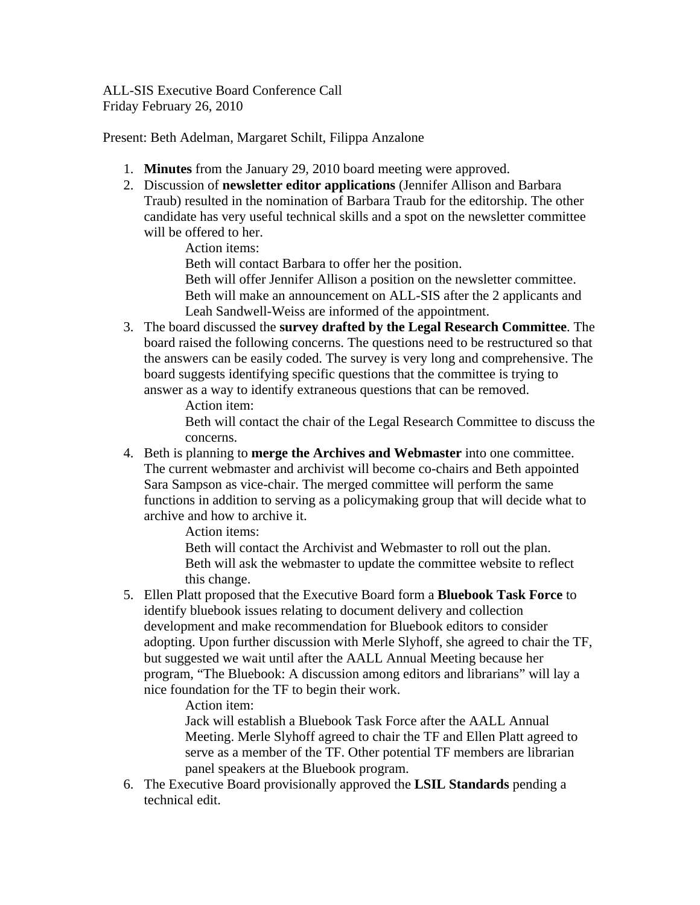ALL-SIS Executive Board Conference Call Friday February 26, 2010

Present: Beth Adelman, Margaret Schilt, Filippa Anzalone

- 1. **Minutes** from the January 29, 2010 board meeting were approved.
- 2. Discussion of **newsletter editor applications** (Jennifer Allison and Barbara Traub) resulted in the nomination of Barbara Traub for the editorship. The other candidate has very useful technical skills and a spot on the newsletter committee will be offered to her.

Action items:

Beth will contact Barbara to offer her the position.

Beth will offer Jennifer Allison a position on the newsletter committee. Beth will make an announcement on ALL-SIS after the 2 applicants and Leah Sandwell-Weiss are informed of the appointment.

3. The board discussed the **survey drafted by the Legal Research Committee**. The board raised the following concerns. The questions need to be restructured so that the answers can be easily coded. The survey is very long and comprehensive. The board suggests identifying specific questions that the committee is trying to answer as a way to identify extraneous questions that can be removed.

Action item:

 Beth will contact the chair of the Legal Research Committee to discuss the concerns.

4. Beth is planning to **merge the Archives and Webmaster** into one committee. The current webmaster and archivist will become co-chairs and Beth appointed Sara Sampson as vice-chair. The merged committee will perform the same functions in addition to serving as a policymaking group that will decide what to archive and how to archive it.

Action items:

 Beth will contact the Archivist and Webmaster to roll out the plan. Beth will ask the webmaster to update the committee website to reflect this change.

5. Ellen Platt proposed that the Executive Board form a **Bluebook Task Force** to identify bluebook issues relating to document delivery and collection development and make recommendation for Bluebook editors to consider adopting. Upon further discussion with Merle Slyhoff, she agreed to chair the TF, but suggested we wait until after the AALL Annual Meeting because her program, "The Bluebook: A discussion among editors and librarians" will lay a nice foundation for the TF to begin their work.

Action item:

 Jack will establish a Bluebook Task Force after the AALL Annual Meeting. Merle Slyhoff agreed to chair the TF and Ellen Platt agreed to serve as a member of the TF. Other potential TF members are librarian panel speakers at the Bluebook program.

6. The Executive Board provisionally approved the **LSIL Standards** pending a technical edit.